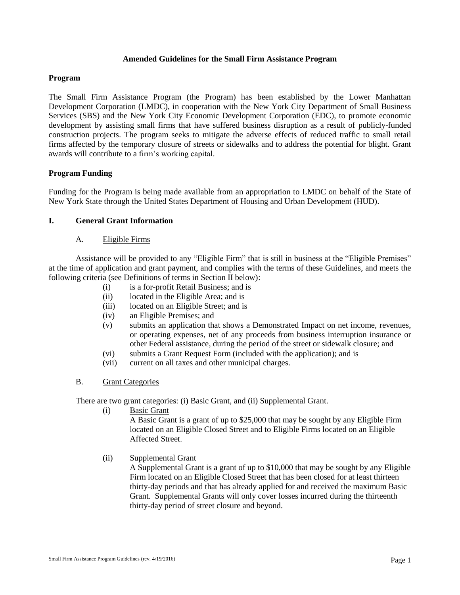#### **Amended Guidelines for the Small Firm Assistance Program**

### **Program**

The Small Firm Assistance Program (the Program) has been established by the Lower Manhattan Development Corporation (LMDC), in cooperation with the New York City Department of Small Business Services (SBS) and the New York City Economic Development Corporation (EDC), to promote economic development by assisting small firms that have suffered business disruption as a result of publicly-funded construction projects. The program seeks to mitigate the adverse effects of reduced traffic to small retail firms affected by the temporary closure of streets or sidewalks and to address the potential for blight. Grant awards will contribute to a firm's working capital.

# **Program Funding**

Funding for the Program is being made available from an appropriation to LMDC on behalf of the State of New York State through the United States Department of Housing and Urban Development (HUD).

# **I. General Grant Information**

### A. Eligible Firms

Assistance will be provided to any "Eligible Firm" that is still in business at the "Eligible Premises" at the time of application and grant payment, and complies with the terms of these Guidelines, and meets the following criteria (see Definitions of terms in Section II below):

- (i) is a for-profit Retail Business; and is
- (ii) located in the Eligible Area; and is
- (iii) located on an Eligible Street; and is
- (iv) an Eligible Premises; and
- (v) submits an application that shows a Demonstrated Impact on net income, revenues, or operating expenses, net of any proceeds from business interruption insurance or other Federal assistance, during the period of the street or sidewalk closure; and
- (vi) submits a Grant Request Form (included with the application); and is
- (vii) current on all taxes and other municipal charges.

# B. Grant Categories

There are two grant categories: (i) Basic Grant, and (ii) Supplemental Grant.

(i) Basic Grant

A Basic Grant is a grant of up to \$25,000 that may be sought by any Eligible Firm located on an Eligible Closed Street and to Eligible Firms located on an Eligible Affected Street.

(ii) Supplemental Grant

A Supplemental Grant is a grant of up to \$10,000 that may be sought by any Eligible Firm located on an Eligible Closed Street that has been closed for at least thirteen thirty-day periods and that has already applied for and received the maximum Basic Grant. Supplemental Grants will only cover losses incurred during the thirteenth thirty-day period of street closure and beyond.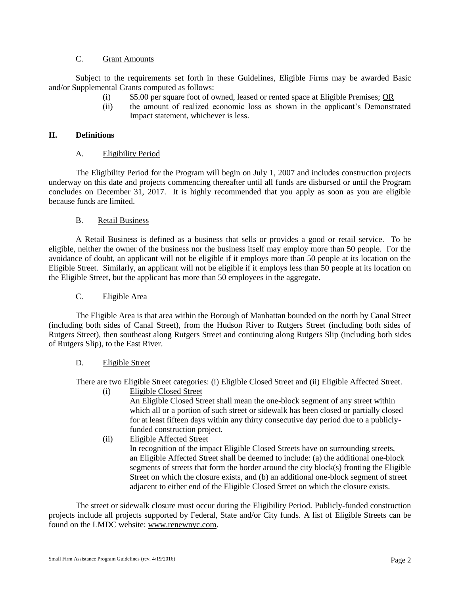# C. Grant Amounts

Subject to the requirements set forth in these Guidelines, Eligible Firms may be awarded Basic and/or Supplemental Grants computed as follows:

- (i) \$5.00 per square foot of owned, leased or rented space at Eligible Premises; OR
- (ii) the amount of realized economic loss as shown in the applicant's Demonstrated Impact statement, whichever is less.

### **II. Definitions**

# A. Eligibility Period

The Eligibility Period for the Program will begin on July 1, 2007 and includes construction projects underway on this date and projects commencing thereafter until all funds are disbursed or until the Program concludes on December 31, 2017. It is highly recommended that you apply as soon as you are eligible because funds are limited.

### B. Retail Business

A Retail Business is defined as a business that sells or provides a good or retail service. To be eligible, neither the owner of the business nor the business itself may employ more than 50 people. For the avoidance of doubt, an applicant will not be eligible if it employs more than 50 people at its location on the Eligible Street. Similarly, an applicant will not be eligible if it employs less than 50 people at its location on the Eligible Street, but the applicant has more than 50 employees in the aggregate.

### C. Eligible Area

The Eligible Area is that area within the Borough of Manhattan bounded on the north by Canal Street (including both sides of Canal Street), from the Hudson River to Rutgers Street (including both sides of Rutgers Street), then southeast along Rutgers Street and continuing along Rutgers Slip (including both sides of Rutgers Slip), to the East River.

# D. Eligible Street

There are two Eligible Street categories: (i) Eligible Closed Street and (ii) Eligible Affected Street.

(i) Eligible Closed Street

An Eligible Closed Street shall mean the one-block segment of any street within which all or a portion of such street or sidewalk has been closed or partially closed for at least fifteen days within any thirty consecutive day period due to a publiclyfunded construction project.

(ii) Eligible Affected Street In recognition of the impact Eligible Closed Streets have on surrounding streets, an Eligible Affected Street shall be deemed to include: (a) the additional one-block segments of streets that form the border around the city block(s) fronting the Eligible Street on which the closure exists, and (b) an additional one-block segment of street adjacent to either end of the Eligible Closed Street on which the closure exists.

The street or sidewalk closure must occur during the Eligibility Period. Publicly-funded construction projects include all projects supported by Federal, State and/or City funds. A list of Eligible Streets can be found on the LMDC website: www.renewnyc.com.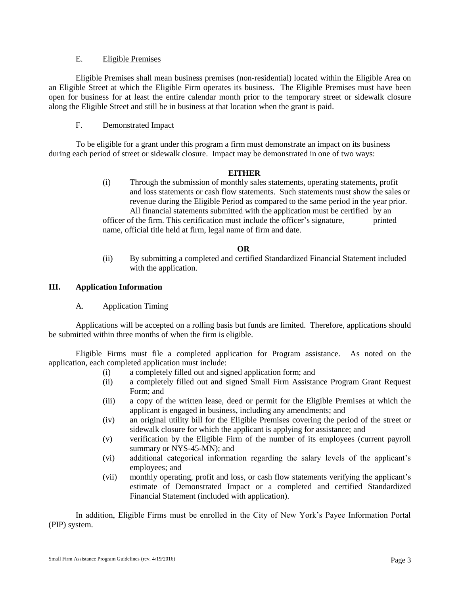### E. Eligible Premises

Eligible Premises shall mean business premises (non-residential) located within the Eligible Area on an Eligible Street at which the Eligible Firm operates its business. The Eligible Premises must have been open for business for at least the entire calendar month prior to the temporary street or sidewalk closure along the Eligible Street and still be in business at that location when the grant is paid.

# F. Demonstrated Impact

To be eligible for a grant under this program a firm must demonstrate an impact on its business during each period of street or sidewalk closure. Impact may be demonstrated in one of two ways:

# **EITHER**

(i) Through the submission of monthly sales statements, operating statements, profit and loss statements or cash flow statements. Such statements must show the sales or revenue during the Eligible Period as compared to the same period in the year prior. All financial statements submitted with the application must be certified by an

officer of the firm. This certification must include the officer's signature, printed name, official title held at firm, legal name of firm and date.

# **OR**

(ii) By submitting a completed and certified Standardized Financial Statement included with the application.

# **III. Application Information**

# A. Application Timing

Applications will be accepted on a rolling basis but funds are limited. Therefore, applications should be submitted within three months of when the firm is eligible.

Eligible Firms must file a completed application for Program assistance. As noted on the application, each completed application must include:

- (i) a completely filled out and signed application form; and
- (ii) a completely filled out and signed Small Firm Assistance Program Grant Request Form; and
- (iii) a copy of the written lease, deed or permit for the Eligible Premises at which the applicant is engaged in business, including any amendments; and
- (iv) an original utility bill for the Eligible Premises covering the period of the street or sidewalk closure for which the applicant is applying for assistance; and
- (v) verification by the Eligible Firm of the number of its employees (current payroll summary or NYS-45-MN); and
- (vi) additional categorical information regarding the salary levels of the applicant's employees; and
- (vii) monthly operating, profit and loss, or cash flow statements verifying the applicant's estimate of Demonstrated Impact or a completed and certified Standardized Financial Statement (included with application).

In addition, Eligible Firms must be enrolled in the City of New York's Payee Information Portal (PIP) system.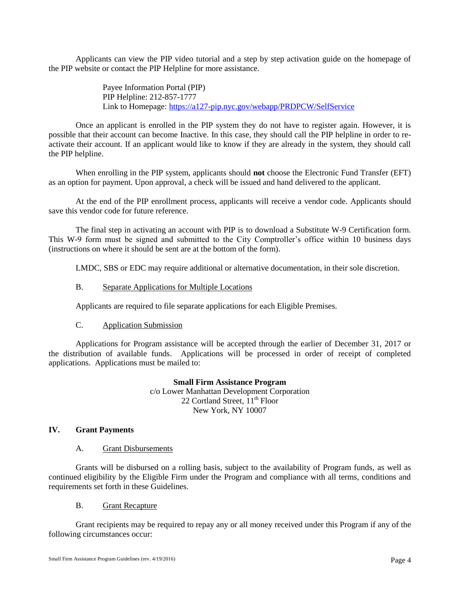Applicants can view the PIP video tutorial and a step by step activation guide on the homepage of the PIP website or contact the PIP Helpline for more assistance.

> Payee Information Portal (PIP) PIP Helpline: 212-857-1777 Link to Homepage:<https://a127-pip.nyc.gov/webapp/PRDPCW/SelfService>

Once an applicant is enrolled in the PIP system they do not have to register again. However, it is possible that their account can become Inactive. In this case, they should call the PIP helpline in order to reactivate their account. If an applicant would like to know if they are already in the system, they should call the PIP helpline.

When enrolling in the PIP system, applicants should **not** choose the Electronic Fund Transfer (EFT) as an option for payment. Upon approval, a check will be issued and hand delivered to the applicant.

At the end of the PIP enrollment process, applicants will receive a vendor code. Applicants should save this vendor code for future reference.

The final step in activating an account with PIP is to download a Substitute W-9 Certification form. This W-9 form must be signed and submitted to the City Comptroller's office within 10 business days (instructions on where it should be sent are at the bottom of the form).

LMDC, SBS or EDC may require additional or alternative documentation, in their sole discretion.

### B. Separate Applications for Multiple Locations

Applicants are required to file separate applications for each Eligible Premises.

#### C. Application Submission

Applications for Program assistance will be accepted through the earlier of December 31, 2017 or the distribution of available funds. Applications will be processed in order of receipt of completed applications. Applications must be mailed to:

> **Small Firm Assistance Program** c/o Lower Manhattan Development Corporation 22 Cortland Street,  $11<sup>th</sup>$  Floor New York, NY 10007

## **IV. Grant Payments**

#### A. Grant Disbursements

Grants will be disbursed on a rolling basis, subject to the availability of Program funds, as well as continued eligibility by the Eligible Firm under the Program and compliance with all terms, conditions and requirements set forth in these Guidelines.

#### B. Grant Recapture

Grant recipients may be required to repay any or all money received under this Program if any of the following circumstances occur: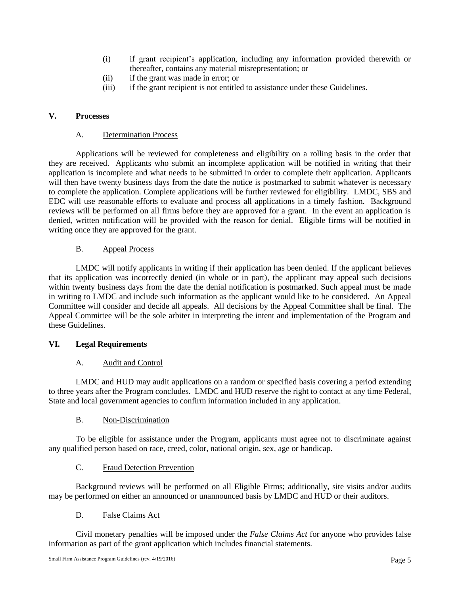- (i) if grant recipient's application, including any information provided therewith or thereafter, contains any material misrepresentation; or
- (ii) if the grant was made in error; or
- (iii) if the grant recipient is not entitled to assistance under these Guidelines.

# **V. Processes**

# A. Determination Process

Applications will be reviewed for completeness and eligibility on a rolling basis in the order that they are received. Applicants who submit an incomplete application will be notified in writing that their application is incomplete and what needs to be submitted in order to complete their application. Applicants will then have twenty business days from the date the notice is postmarked to submit whatever is necessary to complete the application. Complete applications will be further reviewed for eligibility. LMDC, SBS and EDC will use reasonable efforts to evaluate and process all applications in a timely fashion. Background reviews will be performed on all firms before they are approved for a grant. In the event an application is denied, written notification will be provided with the reason for denial. Eligible firms will be notified in writing once they are approved for the grant.

# B. Appeal Process

LMDC will notify applicants in writing if their application has been denied. If the applicant believes that its application was incorrectly denied (in whole or in part), the applicant may appeal such decisions within twenty business days from the date the denial notification is postmarked. Such appeal must be made in writing to LMDC and include such information as the applicant would like to be considered. An Appeal Committee will consider and decide all appeals. All decisions by the Appeal Committee shall be final. The Appeal Committee will be the sole arbiter in interpreting the intent and implementation of the Program and these Guidelines.

# **VI. Legal Requirements**

# A. Audit and Control

LMDC and HUD may audit applications on a random or specified basis covering a period extending to three years after the Program concludes. LMDC and HUD reserve the right to contact at any time Federal, State and local government agencies to confirm information included in any application.

# B. Non-Discrimination

To be eligible for assistance under the Program, applicants must agree not to discriminate against any qualified person based on race, creed, color, national origin, sex, age or handicap.

# C. Fraud Detection Prevention

Background reviews will be performed on all Eligible Firms; additionally, site visits and/or audits may be performed on either an announced or unannounced basis by LMDC and HUD or their auditors.

# D. False Claims Act

Civil monetary penalties will be imposed under the *False Claims Act* for anyone who provides false information as part of the grant application which includes financial statements.